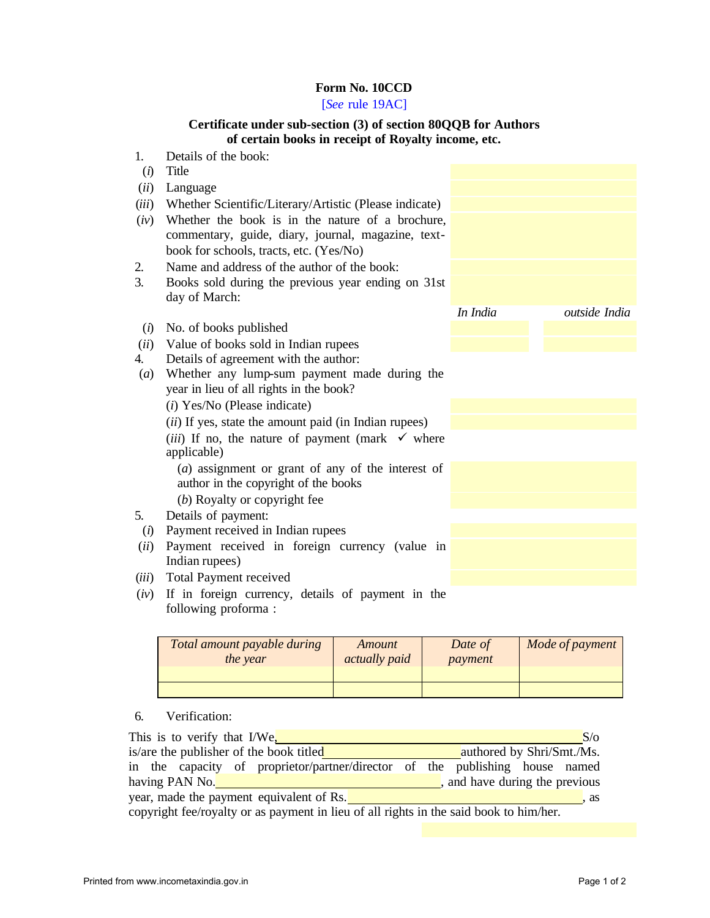## **Form No. 10CCD**

## [*See* rule 19AC]

## **Certificate under sub-section (3) of section 80QQB for Authors of certain books in receipt of Royalty income, etc.**

| 1.    | Details of the book:                                                 |          |               |
|-------|----------------------------------------------------------------------|----------|---------------|
| (i)   | Title                                                                |          |               |
| (ii)  | Language                                                             |          |               |
| (iii) | Whether Scientific/Literary/Artistic (Please indicate)               |          |               |
| (iv)  | Whether the book is in the nature of a brochure,                     |          |               |
|       | commentary, guide, diary, journal, magazine, text-                   |          |               |
|       | book for schools, tracts, etc. (Yes/No)                              |          |               |
| 2.    | Name and address of the author of the book:                          |          |               |
| 3.    | Books sold during the previous year ending on 31st                   |          |               |
|       | day of March:                                                        |          |               |
|       |                                                                      | In India | outside India |
| (i)   | No. of books published                                               |          |               |
| (ii)  | Value of books sold in Indian rupees                                 |          |               |
| 4.    | Details of agreement with the author:                                |          |               |
| (a)   | Whether any lump-sum payment made during the                         |          |               |
|       | year in lieu of all rights in the book?                              |          |               |
|       | $(i)$ Yes/No (Please indicate)                                       |          |               |
|       | ( <i>ii</i> ) If yes, state the amount paid (in Indian rupees)       |          |               |
|       | ( <i>iii</i> ) If no, the nature of payment (mark $\checkmark$ where |          |               |
|       | applicable)                                                          |          |               |
|       | (a) assignment or grant of any of the interest of                    |          |               |
|       | author in the copyright of the books                                 |          |               |
|       | (b) Royalty or copyright fee                                         |          |               |
| 5.    | Details of payment:                                                  |          |               |
| (i)   | Payment received in Indian rupees                                    |          |               |
| (ii)  | Payment received in foreign currency (value in                       |          |               |
|       | Indian rupees)                                                       |          |               |
| (iii) | Total Payment received                                               |          |               |
| (iv)  | If in foreign currency, details of payment in the                    |          |               |

following proforma :

| Total amount payable during<br>the year | Amount<br><i>actually paid</i> | Date of<br>payment | Mode of payment |
|-----------------------------------------|--------------------------------|--------------------|-----------------|
|                                         |                                |                    |                 |

## 6. Verification:

| This is to verify that I/We,<br>S/O                                                    |                                |  |  |  |  |  |
|----------------------------------------------------------------------------------------|--------------------------------|--|--|--|--|--|
| is/are the publisher of the book titled<br>authored by Shri/Smt./Ms.                   |                                |  |  |  |  |  |
| in the capacity of proprietor/partner/director of the publishing house named           |                                |  |  |  |  |  |
| having PAN No.                                                                         | , and have during the previous |  |  |  |  |  |
| year, made the payment equivalent of Rs.<br>. as                                       |                                |  |  |  |  |  |
| copyright fee/royalty or as payment in lieu of all rights in the said book to him/her. |                                |  |  |  |  |  |